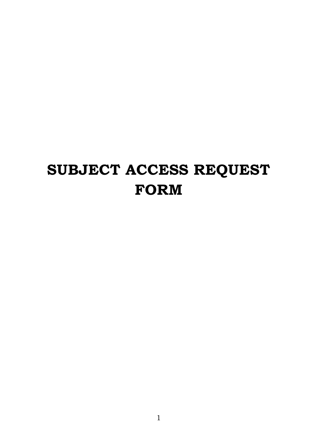# **SUBJECT ACCESS REQUEST FORM**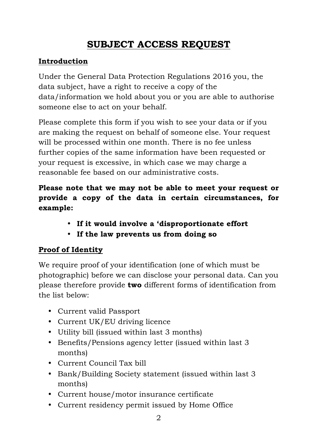## **SUBJECT ACCESS REQUEST**

#### **Introduction**

Under the General Data Protection Regulations 2016 you, the data subject, have a right to receive a copy of the data/information we hold about you or you are able to authorise someone else to act on your behalf.

Please complete this form if you wish to see your data or if you are making the request on behalf of someone else. Your request will be processed within one month. There is no fee unless further copies of the same information have been requested or your request is excessive, in which case we may charge a reasonable fee based on our administrative costs.

#### **Please note that we may not be able to meet your request or provide a copy of the data in certain circumstances, for example:**

- **If it would involve a 'disproportionate effort**
- **If the law prevents us from doing so**

### **Proof of Identity**

We require proof of your identification (one of which must be photographic) before we can disclose your personal data. Can you please therefore provide **two** different forms of identification from the list below:

- Current valid Passport
- Current UK/EU driving licence
- Utility bill (issued within last 3 months)
- Benefits/Pensions agency letter (issued within last 3 months)
- Current Council Tax bill
- Bank/Building Society statement (issued within last 3 months)
- Current house/motor insurance certificate
- Current residency permit issued by Home Office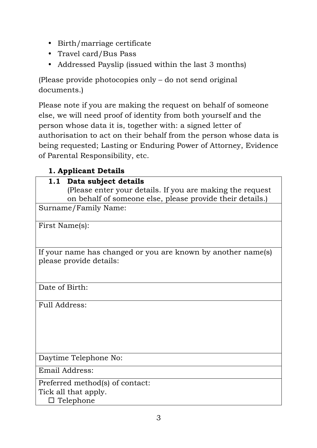- Birth/marriage certificate
- Travel card/Bus Pass
- Addressed Payslip (issued within the last 3 months)

(Please provide photocopies only – do not send original documents.)

Please note if you are making the request on behalf of someone else, we will need proof of identity from both yourself and the person whose data it is, together with: a signed letter of authorisation to act on their behalf from the person whose data is being requested; Lasting or Enduring Power of Attorney, Evidence of Parental Responsibility, etc.

### **1. Applicant Details**

#### **1.1 Data subject details**

(Please enter your details. If you are making the request on behalf of someone else, please provide their details.)

Surname/Family Name:

First Name(s):

If your name has changed or you are known by another name(s) please provide details:

Date of Birth:

Full Address:

Daytime Telephone No:

Email Address:

Preferred method(s) of contact: Tick all that apply.  $\square$  Telephone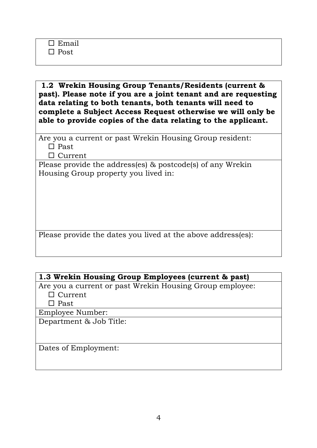**1.2 Wrekin Housing Group Tenants/Residents (current & past). Please note if you are a joint tenant and are requesting data relating to both tenants, both tenants will need to complete a Subject Access Request otherwise we will only be able to provide copies of the data relating to the applicant.**

Are you a current or past Wrekin Housing Group resident:  $\Box$  Past

 $\Box$  Current

Please provide the address(es) & postcode(s) of any Wrekin Housing Group property you lived in:

Please provide the dates you lived at the above address(es):

#### **1.3 Wrekin Housing Group Employees (current & past)**

Are you a current or past Wrekin Housing Group employee:  $\Box$  Current

 $\square$  Past

Employee Number:

Department & Job Title:

Dates of Employment: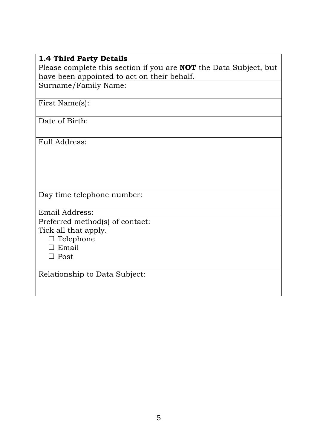#### **1.4 Third Party Details**

Please complete this section if you are **NOT** the Data Subject, but have been appointed to act on their behalf.

Surname/Family Name:

First Name(s):

Date of Birth:

Full Address:

Day time telephone number:

Email Address:

Preferred method(s) of contact:

Tick all that apply.

 $\Box$  Telephone

 $\square$  Email

 $\square$  Post

Relationship to Data Subject: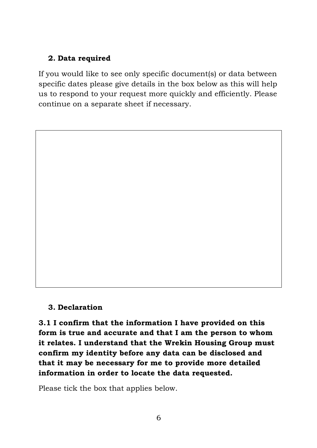#### **2. Data required**

If you would like to see only specific document(s) or data between specific dates please give details in the box below as this will help us to respond to your request more quickly and efficiently. Please continue on a separate sheet if necessary.

**3. Declaration**

**3.1 I confirm that the information I have provided on this form is true and accurate and that I am the person to whom it relates. I understand that the Wrekin Housing Group must confirm my identity before any data can be disclosed and that it may be necessary for me to provide more detailed information in order to locate the data requested.**

Please tick the box that applies below.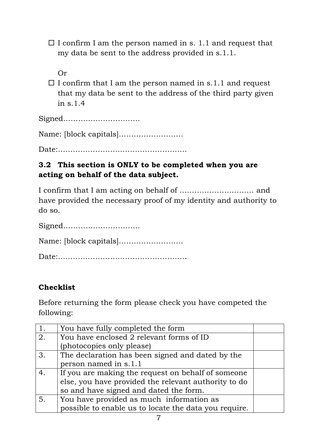- $\Box$  I confirm I am the person named in s. 1.1 and request that my data be sent to the address provided in s.1.1.
	- Or
- $\Box$  I confirm that I am the person named in s.1.1 and request that my data be sent to the address of the third party given in s.1.4

Signed………………………….

Name: [block capitals]……………………..

Date:

#### **3.2 This section is ONLY to be completed when you are acting on behalf of the data subject.**

I confirm that I am acting on behalf of ………………………… and have provided the necessary proof of my identity and authority to do so.

Signed………………………….

Name: [block capitals]……………………..

Date:…………………………………………….

### **Checklist**

Before returning the form please check you have competed the following:

| 1. | You have fully completed the form                     |  |
|----|-------------------------------------------------------|--|
| 2. | You have enclosed 2 relevant forms of ID              |  |
|    | (photocopies only please)                             |  |
| 3. | The declaration has been signed and dated by the      |  |
|    | person named in s.1.1                                 |  |
| 4. | If you are making the request on behalf of someone    |  |
|    | else, you have provided the relevant authority to do  |  |
|    | so and have signed and dated the form.                |  |
| 5. | You have provided as much information as              |  |
|    | possible to enable us to locate the data you require. |  |